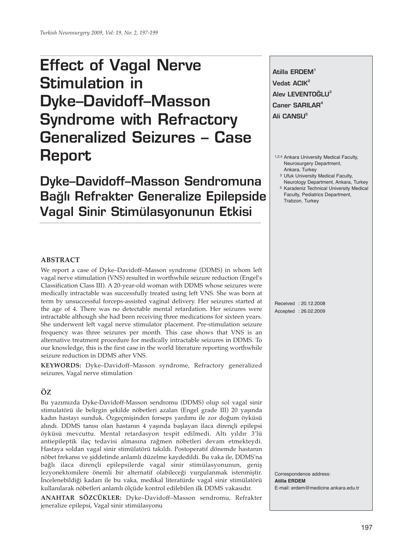# **Effect of Vagal Nerve Stimulation in Dyke–Davidoff–Masson Syndrome with Refractory Generalized Seizures – Case Report**

**Dyke–Davidoff–Masson Sendromuna Ba¤l› Refrakter Generalize Epilepside Vagal Sinir Stimülasyonunun Etkisi**

**Atilla ERDEM1 Vedat ACIK<sup>2</sup> Alev LEVENTOĞLU<sup>3</sup> Caner SARILAR4 Ali CANSU<sup>5</sup>** 

1,2,4 Ankara University Medical Faculty, Neurosurgery Department, Ankara, Turkey

- 3 Ufuk University Medical Faculty, Neurology Department, Ankara, Turkey
- 5 Karadeniz Technical University Medical Faculty, Pediatrics Department, Trabzon, Turkey

#### **ABSTRACT**

We report a case of Dyke–Davidoff–Masson syndrome (DDMS) in whom left vagal nerve stimulation (VNS) resulted in worthwhile seizure reduction (Engel's Classification Class III). A 20-year-old woman with DDMS whose seizures were medically intractable was successfully treated using left VNS. She was born at term by unsuccessful forceps-assisted vaginal delivery. Her seizures started at the age of 4. There was no detectable mental retardation. Her seizures were intractable although she had been receiving three medications for sixteen years. She underwent left vagal nerve stimulator placement. Pre-stimulation seizure frequency was three seizures per month. This case shows that VNS is an alternative treatment procedure for medically intractable seizures in DDMS. To our knowledge, this is the first case in the world literature reporting worthwhile seizure reduction in DDMS after VNS.

**KEYWORDS:** Dyke–Davidoff–Masson syndrome, Refractory generalized seizures, Vagal nerve stimulation

# **ÖZ**

Bu yazımızda Dyke-Davidoff-Masson sendromu (DDMS) olup sol vagal sinir stimulatörü ile belirgin şekilde nöbetleri azalan (Engel grade III) 20 yaşında kadın hastayı sunduk. Özgeçmişinden forseps yardımı ile zor doğum öyküsü alındı. DDMS tanısı olan hastanın 4 yaşında başlayan ilaca dirençli epilepsi öyküsü mevcuttu. Mental retardasyon tespit edilmedi. Altı yıldır 3'lü antiepileptik ilaç tedavisi almasına rağmen nöbetleri devam etmekteydi. Hastaya soldan vagal sinir stimülatörü takıldı. Postoperatif dönemde hastanın nöbet frekansı ve şiddetinde anlamlı düzelme kaydedildi. Bu vaka ile, DDMS'na bağlı ilaca dirençli epilepsilerde vagal sinir stimülasyonunun, geniş lezyonektomilere önemli bir alternatif olabileceği vurgulanmak istenmiştir. İncelenebildiği kadarı ile bu vaka, medikal literatürde vagal sinir stimülatörü kullanılarak nöbetleri anlamlı ölçüde kontrol edilebilen ilk DDMS vakasıdır.

**ANAHTAR SÖZCÜKLER:** Dyke–Davidoff–Masson sendromu, Refrakter jeneralize epilepsi, Vagal sinir stimülasyonu

Received : 20.12.2008 Accepted : 26.02.2009

Correspondence address: **Atilla ERDEM** E-mail: erdem@medicine.ankara.edu.tr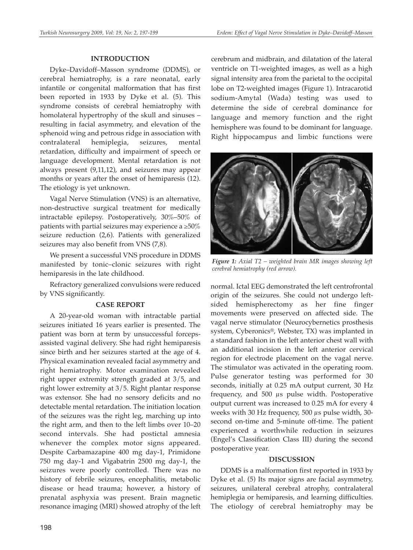### **INTRODUCTION**

Dyke–Davidoff–Masson syndrome (DDMS), or cerebral hemiatrophy, is a rare neonatal, early infantile or congenital malformation that has first been reported in 1933 by Dyke et al. (5). This syndrome consists of cerebral hemiatrophy with homolateral hypertrophy of the skull and sinuses – resulting in facial asymmetry, and elevation of the sphenoid wing and petrous ridge in association with contralateral hemiplegia, seizures, mental retardation, difficulty and impairment of speech or language development. Mental retardation is not always present (9,11,12), and seizures may appear months or years after the onset of hemiparesis (12). The etiology is yet unknown.

Vagal Nerve Stimulation (VNS) is an alternative, non-destructive surgical treatment for medically intractable epilepsy. Postoperatively, 30%–50% of patients with partial seizures may experience a  $\geq 50\%$ seizure reduction (2,6). Patients with generalized seizures may also benefit from VNS (7,8).

We present a successful VNS procedure in DDMS manifested by tonic–clonic seizures with right hemiparesis in the late childhood.

Refractory generalized convulsions were reduced by VNS significantly.

# **CASE REPORT**

A 20-year-old woman with intractable partial seizures initiated 16 years earlier is presented. The patient was born at term by unsuccessful forcepsassisted vaginal delivery. She had right hemiparesis since birth and her seizures started at the age of 4. Physical examination revealed facial asymmetry and right hemiatrophy. Motor examination revealed right upper extremity strength graded at 3/5, and right lower extremity at 3/5. Right plantar response was extensor. She had no sensory deficits and no detectable mental retardation. The initiation location of the seizures was the right leg, marching up into the right arm, and then to the left limbs over 10–20 second intervals. She had postictal amnesia whenever the complex motor signs appeared. Despite Carbamazapine 400 mg day-1, Primidone 750 mg day-1 and Vigabatrin 2500 mg day-1, the seizures were poorly controlled. There was no history of febrile seizures, encephalitis, metabolic disease or head trauma; however, a history of prenatal asphyxia was present. Brain magnetic resonance imaging (MRI) showed atrophy of the left

cerebrum and midbrain, and dilatation of the lateral ventricle on T1-weighted images, as well as a high signal intensity area from the parietal to the occipital lobe on T2-weighted images (Figure 1). Intracarotid sodium-Amytal (Wada) testing was used to determine the side of cerebral dominance for language and memory function and the right hemisphere was found to be dominant for language. Right hippocampus and limbic functions were



*Figure 1: Axial T2 – weighted brain MR images showing left cerebral hemiatrophy (red arrow).*

normal. Ictal EEG demonstrated the left centrofrontal origin of the seizures. She could not undergo leftsided hemispherectomy as her fine finger movements were preserved on affected side. The vagal nerve stimulator (Neurocybernetics prosthesis system, Cyberonics®, Webster, TX) was implanted in a standard fashion in the left anterior chest wall with an additional incision in the left anterior cervical region for electrode placement on the vagal nerve. The stimulator was activated in the operating room. Pulse generator testing was performed for 30 seconds, initially at 0.25 mA output current, 30 Hz frequency, and 500 μs pulse width. Postoperative output current was increased to 0.25 mA for every 4 weeks with 30 Hz frequency, 500 μs pulse width, 30 second on-time and 5-minute off-time. The patient experienced a worthwhile reduction in seizures (Engel's Classification Class III) during the second postoperative year.

#### **DISCUSSION**

DDMS is a malformation first reported in 1933 by Dyke et al. (5) Its major signs are facial asymmetry, seizures, unilateral cerebral atrophy, contralateral hemiplegia or hemiparesis, and learning difficulties. The etiology of cerebral hemiatrophy may be